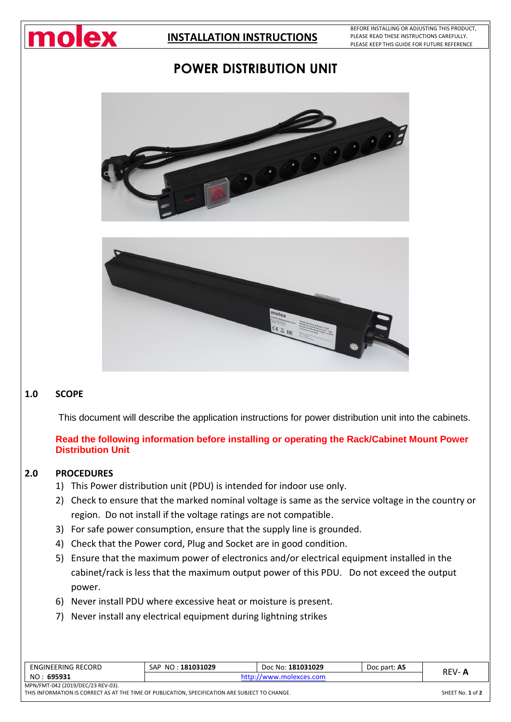

BEFORE INSTALLING OR ADJUSTING THIS PRODUCT, PLEASE READ THESE INSTRUCTIONS CAREFULLY. PLEASE KEEP THIS GUIDE FOR FUTURE REFERENCE

# **POWER DISTRIBUTION UNIT**





#### **1.0 SCOPE**

This document will describe the application instructions for power distribution unit into the cabinets.

### **Read the following information before installing or operating the Rack/Cabinet Mount Power Distribution Unit**

#### **2.0 PROCEDURES**

- 1) This Power distribution unit (PDU) is intended for indoor use only.
- 2) Check to ensure that the marked nominal voltage is same as the service voltage in the country or region. Do not install if the voltage ratings are not compatible.
- 3) For safe power consumption, ensure that the supply line is grounded.
- 4) Check that the Power cord, Plug and Socket are in good condition.
- 5) Ensure that the maximum power of electronics and/or electrical equipment installed in the cabinet/rack is less that the maximum output power of this PDU. Do not exceed the output power.
- 6) Never install PDU where excessive heat or moisture is present.
- 7) Never install any electrical equipment during lightning strikes

| ENGINEERING RECORD                                                                              | SAP NO: 181031029 | Doc No: 181031029       | Doc part: AS | <b>REV-A</b> |
|-------------------------------------------------------------------------------------------------|-------------------|-------------------------|--------------|--------------|
| NO: 695931                                                                                      |                   | http://www.molexces.com |              |              |
| MPN/FMT-042 (2019/DEC/23 REV-03).                                                               |                   |                         |              |              |
| THIS INFORMATION IS CORRECT AS AT THE TIME OF PUBLICATION, SPECIFICATION ARE SUBJECT TO CHANGE. |                   |                         |              |              |